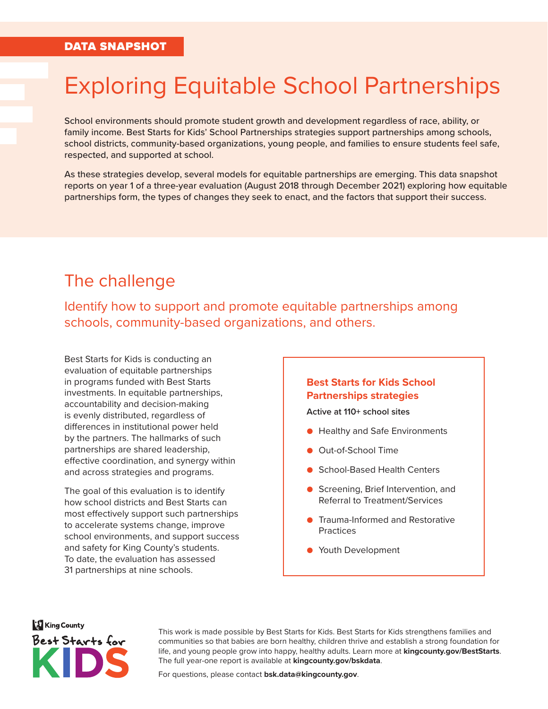# Exploring Equitable School Partnerships

School environments should promote student growth and development regardless of race, ability, or family income. Best Starts for Kids' School Partnerships strategies support partnerships among schools, school districts, community-based organizations, young people, and families to ensure students feel safe, respected, and supported at school.

As these strategies develop, several models for equitable partnerships are emerging. This data snapshot reports on year 1 of a three-year evaluation (August 2018 through December 2021) exploring how equitable partnerships form, the types of changes they seek to enact, and the factors that support their success.

## The challenge

Identify how to support and promote equitable partnerships among schools, community-based organizations, and others.

Best Starts for Kids is conducting an evaluation of equitable partnerships in programs funded with Best Starts investments. In equitable partnerships, accountability and decision-making is evenly distributed, regardless of differences in institutional power held by the partners. The hallmarks of such partnerships are shared leadership, effective coordination, and synergy within and across strategies and programs.

The goal of this evaluation is to identify how school districts and Best Starts can most effectively support such partnerships to accelerate systems change, improve school environments, and support success and safety for King County's students. To date, the evaluation has assessed 31 partnerships at nine schools.

#### **Best Starts for Kids School Partnerships strategies**

**Active at 110+ school sites**

- Healthy and Safe Environments
- Out-of-School Time
- School-Based Health Centers
- Screening, Brief Intervention, and Referral to Treatment/Services
- Trauma-Informed and Restorative **Practices**
- Youth Development

**King County** Best Starts for

This work is made possible by Best Starts for Kids. Best Starts for Kids strengthens families and communities so that babies are born healthy, children thrive and establish a strong foundation for life, and young people grow into happy, healthy adults. Learn more at **[kingcounty.gov/BestStarts](https://kingcounty.gov/depts/community-human-services/initiatives/best-starts-for-kids.aspx)**. The full year-one report is available at **[kingcounty.gov/bskdata](https://kingcounty.gov/bskdata)**.

For questions, please contact **[bsk.data@kingcounty.gov](mailto: bsk.data@kingcounty.gov)**.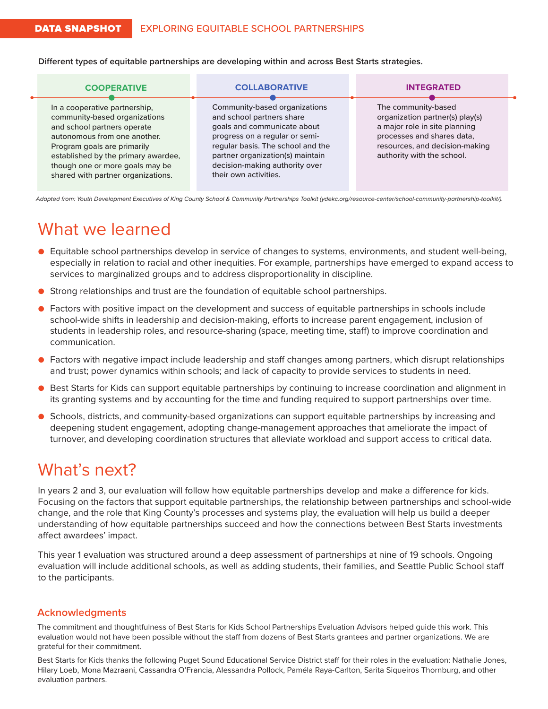**Different types of equitable partnerships are developing within and across Best Starts strategies.**

| <b>COOPERATIVE</b>                                                                                                                                                                                                                                                           | <b>COLLABORATIVE</b>                                                                                                                                                                                                                                            | <b>INTEGRATED</b>                                                                                                                                                                     |
|------------------------------------------------------------------------------------------------------------------------------------------------------------------------------------------------------------------------------------------------------------------------------|-----------------------------------------------------------------------------------------------------------------------------------------------------------------------------------------------------------------------------------------------------------------|---------------------------------------------------------------------------------------------------------------------------------------------------------------------------------------|
| In a cooperative partnership,<br>community-based organizations<br>and school partners operate<br>autonomous from one another.<br>Program goals are primarily<br>established by the primary awardee,<br>though one or more goals may be<br>shared with partner organizations. | Community-based organizations<br>and school partners share<br>goals and communicate about<br>progress on a regular or semi-<br>regular basis. The school and the<br>partner organization(s) maintain<br>decision-making authority over<br>their own activities. | The community-based<br>organization partner(s) play(s)<br>a major role in site planning<br>processes and shares data,<br>resources, and decision-making<br>authority with the school. |

*Adapted from: Youth Development Executives of King County School & Community Partnerships Toolkit (ydekc.org/resource-center/school-community-partnership-toolkit/).*

## What we learned

- Equitable school partnerships develop in service of changes to systems, environments, and student well-being, especially in relation to racial and other inequities. For example, partnerships have emerged to expand access to services to marginalized groups and to address disproportionality in discipline.
- Strong relationships and trust are the foundation of equitable school partnerships.
- Factors with positive impact on the development and success of equitable partnerships in schools include school-wide shifts in leadership and decision-making, efforts to increase parent engagement, inclusion of students in leadership roles, and resource-sharing (space, meeting time, staff) to improve coordination and communication.
- Factors with negative impact include leadership and staff changes among partners, which disrupt relationships and trust; power dynamics within schools; and lack of capacity to provide services to students in need.
- Best Starts for Kids can support equitable partnerships by continuing to increase coordination and alignment in its granting systems and by accounting for the time and funding required to support partnerships over time.
- Schools, districts, and community-based organizations can support equitable partnerships by increasing and deepening student engagement, adopting change-management approaches that ameliorate the impact of turnover, and developing coordination structures that alleviate workload and support access to critical data.

# What's next?

In years 2 and 3, our evaluation will follow how equitable partnerships develop and make a difference for kids. Focusing on the factors that support equitable partnerships, the relationship between partnerships and school-wide change, and the role that King County's processes and systems play, the evaluation will help us build a deeper understanding of how equitable partnerships succeed and how the connections between Best Starts investments affect awardees' impact.

This year 1 evaluation was structured around a deep assessment of partnerships at nine of 19 schools. Ongoing evaluation will include additional schools, as well as adding students, their families, and Seattle Public School staff to the participants.

#### **Acknowledgments**

The commitment and thoughtfulness of Best Starts for Kids School Partnerships Evaluation Advisors helped guide this work. This evaluation would not have been possible without the staff from dozens of Best Starts grantees and partner organizations. We are grateful for their commitment.

Best Starts for Kids thanks the following Puget Sound Educational Service District staff for their roles in the evaluation: Nathalie Jones, Hilary Loeb, Mona Mazraani, Cassandra O'Francia, Alessandra Pollock, Paméla Raya-Carlton, Sarita Siqueiros Thornburg, and other evaluation partners.